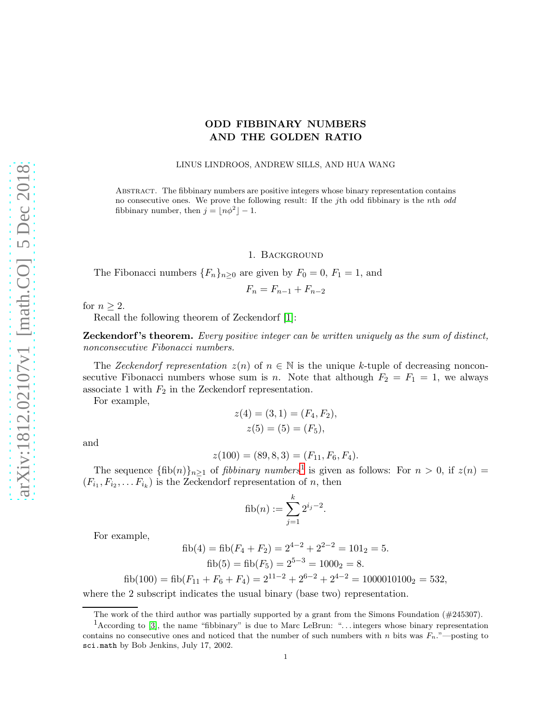# ODD FIBBINARY NUMBERS AND THE GOLDEN RATIO

LINUS LINDROOS, ANDREW SILLS, AND HUA WANG

Abstract. The fibbinary numbers are positive integers whose binary representation contains no consecutive ones. We prove the following result: If the jth odd fibbinary is the nth odd fibbinary number, then  $j = \lfloor n\phi^2 \rfloor - 1$ .

1. Background

The Fibonacci numbers  ${F_n}_{n\geq 0}$  are given by  $F_0 = 0, F_1 = 1$ , and

$$
F_n = F_{n-1} + F_{n-2}
$$

for  $n \geq 2$ .

Recall the following theorem of Zeckendorf [\[1\]](#page-4-0):

**Zeckendorf's theorem.** Every positive integer can be written uniquely as the sum of distinct, nonconsecutive Fibonacci numbers.

The Zeckendorf representation  $z(n)$  of  $n \in \mathbb{N}$  is the unique k-tuple of decreasing nonconsecutive Fibonacci numbers whose sum is n. Note that although  $F_2 = F_1 = 1$ , we always associate 1 with  $F_2$  in the Zeckendorf representation.

For example,

$$
z(4) = (3, 1) = (F_4, F_2),
$$
  

$$
z(5) = (5) = (F_5),
$$

and

$$
z(100) = (89, 8, 3) = (F_{11}, F_6, F_4).
$$

The sequence  $\{\text{fib}(n)\}_{n\geq 1}$  $\{\text{fib}(n)\}_{n\geq 1}$  $\{\text{fib}(n)\}_{n\geq 1}$  of *fibbinary numbers*<sup>1</sup> is given as follows: For  $n > 0$ , if  $z(n) =$  $(F_{i_1}, F_{i_2}, \ldots F_{i_k})$  is the Zeckendorf representation of n, then

fib
$$
(n) := \sum_{j=1}^{k} 2^{i_j - 2}.
$$

For example,

$$
fib(4) = fib(F_4 + F_2) = 2^{4-2} + 2^{2-2} = 101_2 = 5.
$$
  
fib(5) = fib(F\_5) = 2<sup>5-3</sup> = 1000<sub>2</sub> = 8.

$$
fib(100) = fib(F_{11} + F_6 + F_4) = 2^{11-2} + 2^{6-2} + 2^{4-2} = 1000010100_2 = 532,
$$

where the 2 subscript indicates the usual binary (base two) representation.

The work of the third author was partially supported by a grant from the Simons Foundation (#245307).

<span id="page-0-0"></span><sup>&</sup>lt;sup>1</sup>According to [\[3\]](#page-4-1), the name "fibbinary" is due to Marc LeBrun: "... integers whose binary representation contains no consecutive ones and noticed that the number of such numbers with n bits was  $F_n$ ."—posting to sci.math by Bob Jenkins, July 17, 2002.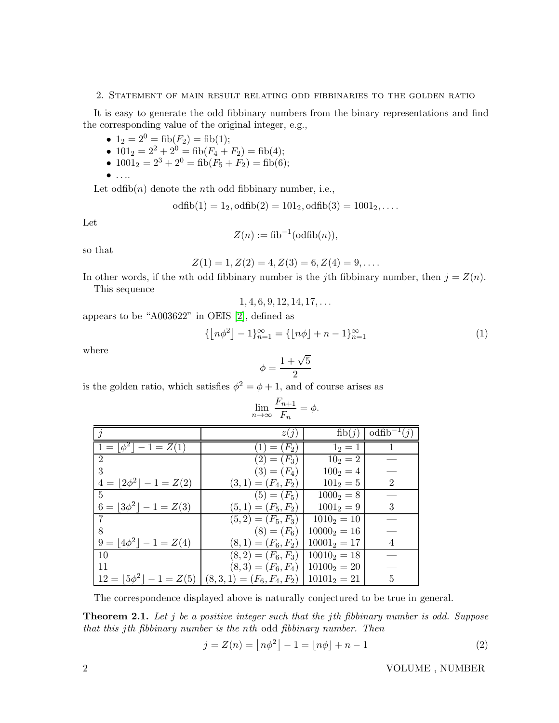#### 2. Statement of main result relating odd fibbinaries to the golden ratio

It is easy to generate the odd fibbinary numbers from the binary representations and find the corresponding value of the original integer, e.g.,

- $1_2 = 2^0 = \text{fib}(F_2) = \text{fib}(1);$
- $101_2 = 2^2 + 2^0 = \text{fib}(F_4 + F_2) = \text{fib}(4);$
- $1001_2 = 2^3 + 2^0 = \text{fib}(F_5 + F_2) = \text{fib}(6);$
- $\bullet$  ....

Let  $\text{odfib}(n)$  denote the *n*th odd fibbinary number, i.e.,

$$
odfib(1) = 12, odfib(2) = 1012, odfib(3) = 10012, ...
$$

Let

$$
Z(n) := \text{fib}^{-1}(\text{odfib}(n)),
$$

so that

$$
Z(1) = 1, Z(2) = 4, Z(3) = 6, Z(4) = 9, \dots
$$

In other words, if the *n*th odd fibbinary number is the *j*th fibbinary number, then  $j = Z(n)$ . This sequence

$$
1, 4, 6, 9, 12, 14, 17, \ldots
$$

appears to be "A003622" in OEIS [\[2\]](#page-4-2), defined as

$$
\{ \lfloor n\phi^2 \rfloor - 1 \}_{n=1}^{\infty} = \{ \lfloor n\phi \rfloor + n - 1 \}_{n=1}^{\infty} \tag{1}
$$

where

$$
\phi = \frac{1+\sqrt{5}}{2}
$$

is the golden ratio, which satisfies  $\phi^2 = \phi + 1$ , and of course arises as

|                                                                 | z(i)                 | fib(j)                                  | $\text{odfib}^{-1}(i)$ |
|-----------------------------------------------------------------|----------------------|-----------------------------------------|------------------------|
| $1 =  \phi^2  - 1 = Z(1)$                                       | $(1) = (F_2)$        | $1_2 = 1$                               |                        |
| $\overline{2}$                                                  | $(2) = (F_3)$        | $10_2 = 2$                              |                        |
| 3                                                               | $(3) = (F_4)$        | $100_2 = 4$                             |                        |
| $4 =  2\phi^2  - 1 = Z(2)$                                      | $(3,1)=(F_4,F_2)$    | $101_2 = 5$                             | $\overline{2}$         |
| $\overline{5}$                                                  | $(5) = (F_5)$        | $1000_2 = 8$                            |                        |
| $6 =  3\phi^2  - 1 = Z(3)$                                      | $(5,1)=(F_5,F_2)$    | $1001_2 = 9$                            | 3                      |
| 7                                                               | $(5,2)=(F_5,F_3)$    | $10102 = 10$                            |                        |
| 8                                                               |                      | $(8) = (F_6)$   10000 <sub>2</sub> = 16 |                        |
| $9 =  4\phi^2  - 1 = Z(4)$                                      | $(8,1)=(F_6,F_2)$    | $10001_2 = 17$                          | 4                      |
| 10                                                              | $(8,2)=(F_6,F_3)$    | $10010_2 = 18$                          |                        |
| 11                                                              | $(8,3) = (F_6, F_4)$ | $101002 = 20$                           |                        |
| $12 =  5\phi^{2}  - 1 = Z(5)   (8,3,1) = (F_{6}, F_{4}, F_{2})$ |                      | $10101_2 = 21$                          | 5                      |

$$
\lim_{n \to \infty} \frac{F_{n+1}}{F_n} = \phi.
$$

The correspondence displayed above is naturally conjectured to be true in general.

<span id="page-1-0"></span>**Theorem 2.1.** Let j be a positive integer such that the jth fibbinary number is odd. Suppose that this jth fibbinary number is the nth odd fibbinary number. Then

<span id="page-1-1"></span>
$$
j = Z(n) = \lfloor n\phi^2 \rfloor - 1 = \lfloor n\phi \rfloor + n - 1
$$
 (2)

2 VOLUME , NUMBER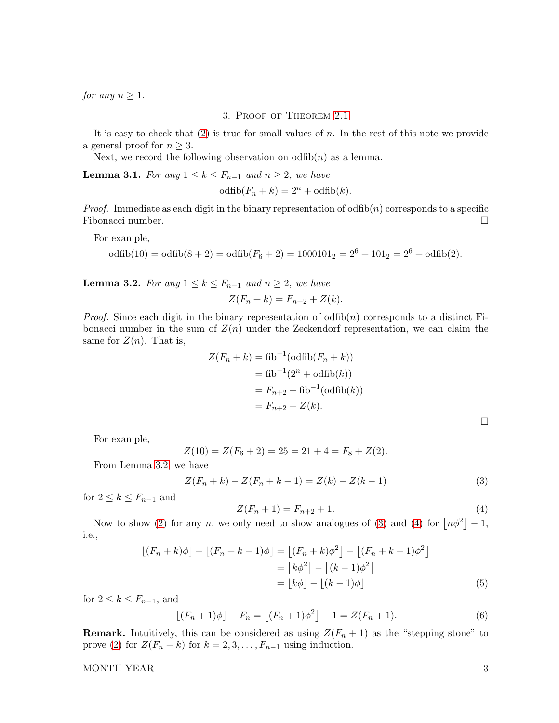for any  $n \geq 1$ .

## 3. Proof of Theorem [2.1](#page-1-0)

It is easy to check that  $(2)$  is true for small values of n. In the rest of this note we provide a general proof for  $n \geq 3$ .

Next, we record the following observation on odfib $(n)$  as a lemma.

**Lemma 3.1.** For any  $1 \leq k \leq F_{n-1}$  and  $n \geq 2$ , we have

$$
\text{odfib}(F_n + k) = 2^n + \text{odfib}(k).
$$

*Proof.* Immediate as each digit in the binary representation of odfib $(n)$  corresponds to a specific Fibonacci number.

For example,

$$
\text{odfib}(10) = \text{odfib}(8+2) = \text{odfib}(F_6+2) = 1000101_2 = 2^6 + 101_2 = 2^6 + \text{odfib}(2).
$$

<span id="page-2-0"></span>**Lemma 3.2.** For any  $1 \leq k \leq F_{n-1}$  and  $n \geq 2$ , we have

$$
Z(F_n + k) = F_{n+2} + Z(k).
$$

*Proof.* Since each digit in the binary representation of  $\text{odfib}(n)$  corresponds to a distinct Fibonacci number in the sum of  $Z(n)$  under the Zeckendorf representation, we can claim the same for  $Z(n)$ . That is,

$$
Z(F_n + k) = \text{fib}^{-1}(\text{odfib}(F_n + k))
$$
  
=  $\text{fib}^{-1}(2^n + \text{odfib}(k))$   
=  $F_{n+2} + \text{fib}^{-1}(\text{odfib}(k))$   
=  $F_{n+2} + Z(k)$ .

<span id="page-2-3"></span> $\Box$ 

For example,

$$
Z(10) = Z(F_6 + 2) = 25 = 21 + 4 = F_8 + Z(2).
$$

From Lemma [3.2,](#page-2-0) we have

<span id="page-2-1"></span>
$$
Z(F_n + k) - Z(F_n + k - 1) = Z(k) - Z(k - 1)
$$
\n(3)

for  $2 \leq k \leq F_{n-1}$  and

<span id="page-2-2"></span>
$$
Z(F_n + 1) = F_{n+2} + 1.
$$
\n(4)

Now to show [\(2\)](#page-1-1) for any n, we only need to show analogues of [\(3\)](#page-2-1) and [\(4\)](#page-2-2) for  $\lfloor n\phi^2 \rfloor - 1$ , i.e.,

$$
\lfloor (F_n + k)\phi \rfloor - \lfloor (F_n + k - 1)\phi \rfloor = \lfloor (F_n + k)\phi^2 \rfloor - \lfloor (F_n + k - 1)\phi^2 \rfloor
$$

$$
= \lfloor k\phi^2 \rfloor - \lfloor (k - 1)\phi^2 \rfloor
$$

$$
= \lfloor k\phi \rfloor - \lfloor (k - 1)\phi \rfloor
$$
(5)

for  $2 \leq k \leq F_{n-1}$ , and

<span id="page-2-4"></span>
$$
\lfloor (F_n + 1)\phi \rfloor + F_n = \lfloor (F_n + 1)\phi^2 \rfloor - 1 = Z(F_n + 1). \tag{6}
$$

**Remark.** Intuitively, this can be considered as using  $Z(F_n + 1)$  as the "stepping stone" to prove [\(2\)](#page-1-1) for  $Z(F_n + k)$  for  $k = 2, 3, \ldots, F_{n-1}$  using induction.

MONTH YEAR 3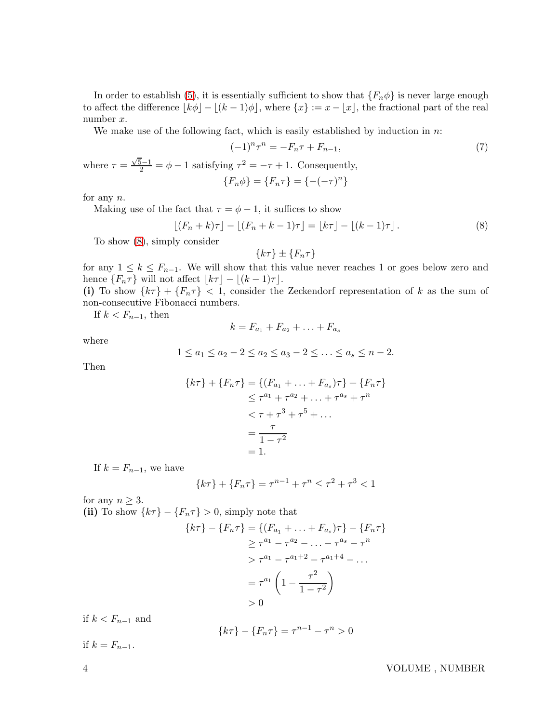In order to establish [\(5\)](#page-2-3), it is essentially sufficient to show that  $\{F_n \phi\}$  is never large enough to affect the difference  $|k\phi| - |(k-1)\phi|$ , where  $\{x\} := x - |x|$ , the fractional part of the real number x.

We make use of the following fact, which is easily established by induction in  $n$ :

<span id="page-3-1"></span>
$$
(-1)^n \tau^n = -F_n \tau + F_{n-1}, \tag{7}
$$

where  $\tau = \frac{\sqrt{5}-1}{2} = \phi - 1$  satisfying  $\tau^2 = -\tau + 1$ . Consequently,

$$
\{F_n \phi\} = \{F_n \tau\} = \{-(-\tau)^n\}
$$

for any n.

Making use of the fact that  $\tau = \phi - 1$ , it suffices to show

<span id="page-3-0"></span>
$$
\lfloor (F_n + k)\tau \rfloor - \lfloor (F_n + k - 1)\tau \rfloor = \lfloor k\tau \rfloor - \lfloor (k - 1)\tau \rfloor. \tag{8}
$$

To show [\(8\)](#page-3-0), simply consider

$$
\{k\tau\} \pm \{F_n\tau\}
$$

for any  $1 \leq k \leq F_{n-1}$ . We will show that this value never reaches 1 or goes below zero and hence  $\{F_n\tau\}$  will not affect  $\lfloor k\tau \rfloor - \lfloor (k-1)\tau \rfloor$ .

(i) To show  $\{k\tau\} + \{F_n\tau\} < 1$ , consider the Zeckendorf representation of k as the sum of non-consecutive Fibonacci numbers.

If  $k < F_{n-1}$ , then

$$
k = F_{a_1} + F_{a_2} + \ldots + F_{a_s}
$$

where

$$
1 \le a_1 \le a_2 - 2 \le a_2 \le a_3 - 2 \le \dots \le a_s \le n - 2.
$$

Then

$$
\{k\tau\} + \{F_n\tau\} = \{(F_{a_1} + \dots + F_{a_s})\tau\} + \{F_n\tau\}
$$
  
\n
$$
\leq \tau^{a_1} + \tau^{a_2} + \dots + \tau^{a_s} + \tau^n
$$
  
\n
$$
< \tau + \tau^3 + \tau^5 + \dots
$$
  
\n
$$
= \frac{\tau}{1 - \tau^2}
$$
  
\n
$$
= 1.
$$

If  $k = F_{n-1}$ , we have

$$
\{k\tau\} + \{F_n\tau\} = \tau^{n-1} + \tau^n \le \tau^2 + \tau^3 < 1
$$

for any  $n \geq 3$ .

(ii) To show  $\{k\tau\} - \{F_n\tau\} > 0$ , simply note that

$$
\{k\tau\} - \{F_n\tau\} = \{(F_{a_1} + \dots + F_{a_s})\tau\} - \{F_n\tau\}
$$

$$
\geq \tau^{a_1} - \tau^{a_2} - \dots - \tau^{a_s} - \tau^n
$$

$$
> \tau^{a_1} - \tau^{a_1+2} - \tau^{a_1+4} - \dots
$$

$$
= \tau^{a_1} \left(1 - \frac{\tau^2}{1 - \tau^2}\right)
$$

$$
> 0
$$

if  $k < F_{n-1}$  and

$$
\{k\tau\} - \{F_n \tau\} = \tau^{n-1} - \tau^n > 0
$$

if  $k = F_{n-1}$ .